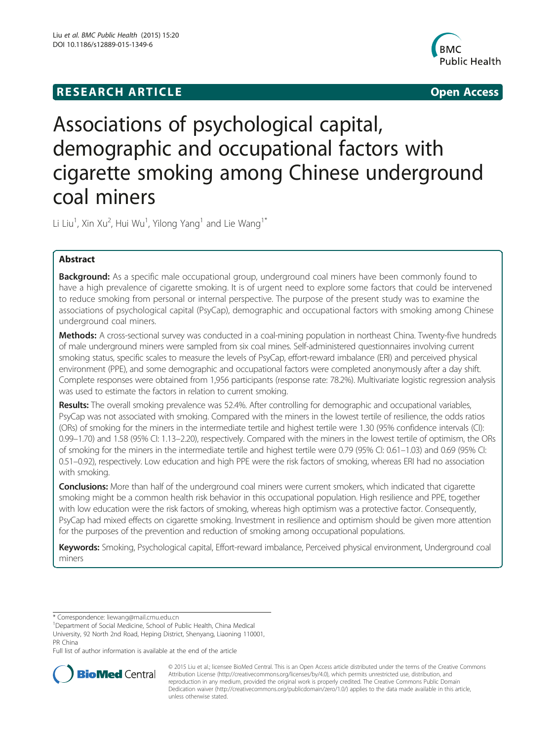## **RESEARCH ARTICLE Example 2008 CONSIDERING CONSIDERING CONSIDERING CONSIDERING CONSIDERING CONSIDERING CONSIDERING CONSIDERING CONSIDERING CONSIDERING CONSIDERING CONSIDERING CONSIDERING CONSIDERING CONSIDERING CONSIDE**



# Associations of psychological capital, demographic and occupational factors with cigarette smoking among Chinese underground coal miners

Li Liu<sup>1</sup>, Xin Xu<sup>2</sup>, Hui Wu<sup>1</sup>, Yilong Yang<sup>1</sup> and Lie Wang<sup>1\*</sup>

## Abstract

**Background:** As a specific male occupational group, underground coal miners have been commonly found to have a high prevalence of cigarette smoking. It is of urgent need to explore some factors that could be intervened to reduce smoking from personal or internal perspective. The purpose of the present study was to examine the associations of psychological capital (PsyCap), demographic and occupational factors with smoking among Chinese underground coal miners.

Methods: A cross-sectional survey was conducted in a coal-mining population in northeast China. Twenty-five hundreds of male underground miners were sampled from six coal mines. Self-administered questionnaires involving current smoking status, specific scales to measure the levels of PsyCap, effort-reward imbalance (ERI) and perceived physical environment (PPE), and some demographic and occupational factors were completed anonymously after a day shift. Complete responses were obtained from 1,956 participants (response rate: 78.2%). Multivariate logistic regression analysis was used to estimate the factors in relation to current smoking.

Results: The overall smoking prevalence was 52.4%. After controlling for demographic and occupational variables, PsyCap was not associated with smoking. Compared with the miners in the lowest tertile of resilience, the odds ratios (ORs) of smoking for the miners in the intermediate tertile and highest tertile were 1.30 (95% confidence intervals (CI): 0.99–1.70) and 1.58 (95% CI: 1.13–2.20), respectively. Compared with the miners in the lowest tertile of optimism, the ORs of smoking for the miners in the intermediate tertile and highest tertile were 0.79 (95% CI: 0.61–1.03) and 0.69 (95% CI: 0.51–0.92), respectively. Low education and high PPE were the risk factors of smoking, whereas ERI had no association with smoking.

**Conclusions:** More than half of the underground coal miners were current smokers, which indicated that cigarette smoking might be a common health risk behavior in this occupational population. High resilience and PPE, together with low education were the risk factors of smoking, whereas high optimism was a protective factor. Consequently, PsyCap had mixed effects on cigarette smoking. Investment in resilience and optimism should be given more attention for the purposes of the prevention and reduction of smoking among occupational populations.

Keywords: Smoking, Psychological capital, Effort-reward imbalance, Perceived physical environment, Underground coal miners

\* Correspondence: [liewang@mail.cmu.edu.cn](mailto:liewang@mail.cmu.edu.cn) <sup>1</sup>

<sup>1</sup>Department of Social Medicine, School of Public Health, China Medical University, 92 North 2nd Road, Heping District, Shenyang, Liaoning 110001,

PR China

Full list of author information is available at the end of the article



© 2015 Liu et al.; licensee BioMed Central. This is an Open Access article distributed under the terms of the Creative Commons Attribution License (<http://creativecommons.org/licenses/by/4.0>), which permits unrestricted use, distribution, and reproduction in any medium, provided the original work is properly credited. The Creative Commons Public Domain Dedication waiver [\(http://creativecommons.org/publicdomain/zero/1.0/](http://creativecommons.org/publicdomain/zero/1.0/)) applies to the data made available in this article, unless otherwise stated.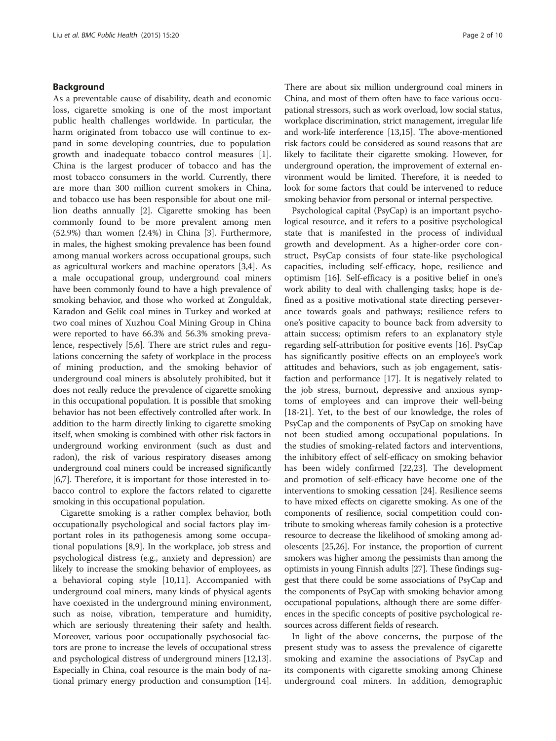## Background

As a preventable cause of disability, death and economic loss, cigarette smoking is one of the most important public health challenges worldwide. In particular, the harm originated from tobacco use will continue to expand in some developing countries, due to population growth and inadequate tobacco control measures [\[1](#page-8-0)]. China is the largest producer of tobacco and has the most tobacco consumers in the world. Currently, there are more than 300 million current smokers in China, and tobacco use has been responsible for about one million deaths annually [\[2](#page-8-0)]. Cigarette smoking has been commonly found to be more prevalent among men (52.9%) than women (2.4%) in China [[3\]](#page-8-0). Furthermore, in males, the highest smoking prevalence has been found among manual workers across occupational groups, such as agricultural workers and machine operators [[3,4\]](#page-8-0). As a male occupational group, underground coal miners have been commonly found to have a high prevalence of smoking behavior, and those who worked at Zonguldak, Karadon and Gelik coal mines in Turkey and worked at two coal mines of Xuzhou Coal Mining Group in China were reported to have 66.3% and 56.3% smoking prevalence, respectively [[5,6\]](#page-8-0). There are strict rules and regulations concerning the safety of workplace in the process of mining production, and the smoking behavior of underground coal miners is absolutely prohibited, but it does not really reduce the prevalence of cigarette smoking in this occupational population. It is possible that smoking behavior has not been effectively controlled after work. In addition to the harm directly linking to cigarette smoking itself, when smoking is combined with other risk factors in underground working environment (such as dust and radon), the risk of various respiratory diseases among underground coal miners could be increased significantly [[6,7](#page-8-0)]. Therefore, it is important for those interested in tobacco control to explore the factors related to cigarette smoking in this occupational population.

Cigarette smoking is a rather complex behavior, both occupationally psychological and social factors play important roles in its pathogenesis among some occupational populations [[8,9\]](#page-8-0). In the workplace, job stress and psychological distress (e.g., anxiety and depression) are likely to increase the smoking behavior of employees, as a behavioral coping style [[10,11\]](#page-8-0). Accompanied with underground coal miners, many kinds of physical agents have coexisted in the underground mining environment, such as noise, vibration, temperature and humidity, which are seriously threatening their safety and health. Moreover, various poor occupationally psychosocial factors are prone to increase the levels of occupational stress and psychological distress of underground miners [\[12,13](#page-8-0)]. Especially in China, coal resource is the main body of national primary energy production and consumption [[14](#page-8-0)].

There are about six million underground coal miners in China, and most of them often have to face various occupational stressors, such as work overload, low social status, workplace discrimination, strict management, irregular life and work-life interference [\[13,15\]](#page-8-0). The above-mentioned risk factors could be considered as sound reasons that are likely to facilitate their cigarette smoking. However, for underground operation, the improvement of external environment would be limited. Therefore, it is needed to look for some factors that could be intervened to reduce smoking behavior from personal or internal perspective.

Psychological capital (PsyCap) is an important psychological resource, and it refers to a positive psychological state that is manifested in the process of individual growth and development. As a higher-order core construct, PsyCap consists of four state-like psychological capacities, including self-efficacy, hope, resilience and optimism [\[16\]](#page-8-0). Self-efficacy is a positive belief in one's work ability to deal with challenging tasks; hope is defined as a positive motivational state directing perseverance towards goals and pathways; resilience refers to one's positive capacity to bounce back from adversity to attain success; optimism refers to an explanatory style regarding self-attribution for positive events [[16\]](#page-8-0). PsyCap has significantly positive effects on an employee's work attitudes and behaviors, such as job engagement, satisfaction and performance [\[17](#page-8-0)]. It is negatively related to the job stress, burnout, depressive and anxious symptoms of employees and can improve their well-being [[18-21](#page-8-0)]. Yet, to the best of our knowledge, the roles of PsyCap and the components of PsyCap on smoking have not been studied among occupational populations. In the studies of smoking-related factors and interventions, the inhibitory effect of self-efficacy on smoking behavior has been widely confirmed [\[22,23](#page-8-0)]. The development and promotion of self-efficacy have become one of the interventions to smoking cessation [\[24\]](#page-8-0). Resilience seems to have mixed effects on cigarette smoking. As one of the components of resilience, social competition could contribute to smoking whereas family cohesion is a protective resource to decrease the likelihood of smoking among adolescents [[25,26](#page-8-0)]. For instance, the proportion of current smokers was higher among the pessimists than among the optimists in young Finnish adults [\[27](#page-8-0)]. These findings suggest that there could be some associations of PsyCap and the components of PsyCap with smoking behavior among occupational populations, although there are some differences in the specific concepts of positive psychological resources across different fields of research.

In light of the above concerns, the purpose of the present study was to assess the prevalence of cigarette smoking and examine the associations of PsyCap and its components with cigarette smoking among Chinese underground coal miners. In addition, demographic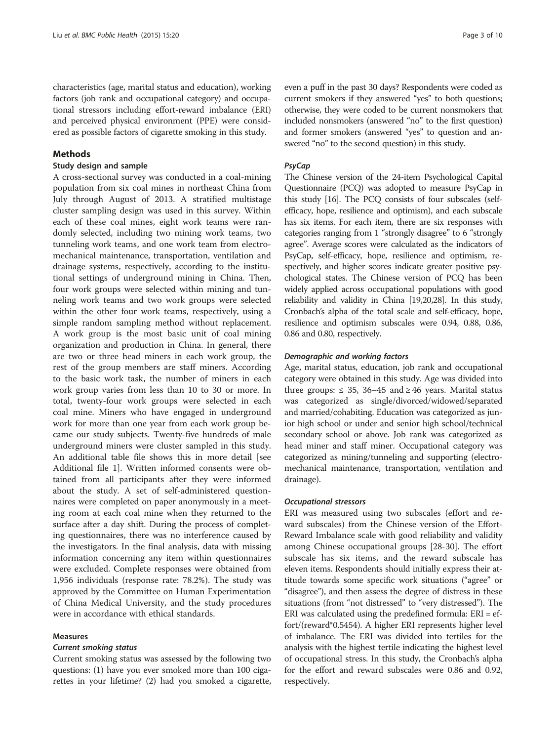characteristics (age, marital status and education), working factors (job rank and occupational category) and occupational stressors including effort-reward imbalance (ERI) and perceived physical environment (PPE) were considered as possible factors of cigarette smoking in this study.

## Methods

## Study design and sample

A cross-sectional survey was conducted in a coal-mining population from six coal mines in northeast China from July through August of 2013. A stratified multistage cluster sampling design was used in this survey. Within each of these coal mines, eight work teams were randomly selected, including two mining work teams, two tunneling work teams, and one work team from electromechanical maintenance, transportation, ventilation and drainage systems, respectively, according to the institutional settings of underground mining in China. Then, four work groups were selected within mining and tunneling work teams and two work groups were selected within the other four work teams, respectively, using a simple random sampling method without replacement. A work group is the most basic unit of coal mining organization and production in China. In general, there are two or three head miners in each work group, the rest of the group members are staff miners. According to the basic work task, the number of miners in each work group varies from less than 10 to 30 or more. In total, twenty-four work groups were selected in each coal mine. Miners who have engaged in underground work for more than one year from each work group became our study subjects. Twenty-five hundreds of male underground miners were cluster sampled in this study. An additional table file shows this in more detail [see Additional file [1\]](#page-8-0). Written informed consents were obtained from all participants after they were informed about the study. A set of self-administered questionnaires were completed on paper anonymously in a meeting room at each coal mine when they returned to the surface after a day shift. During the process of completing questionnaires, there was no interference caused by the investigators. In the final analysis, data with missing information concerning any item within questionnaires were excluded. Complete responses were obtained from 1,956 individuals (response rate: 78.2%). The study was approved by the Committee on Human Experimentation of China Medical University, and the study procedures were in accordance with ethical standards.

## Measures

## Current smoking status

Current smoking status was assessed by the following two questions: (1) have you ever smoked more than 100 cigarettes in your lifetime? (2) had you smoked a cigarette,

even a puff in the past 30 days? Respondents were coded as current smokers if they answered "yes" to both questions; otherwise, they were coded to be current nonsmokers that included nonsmokers (answered "no" to the first question) and former smokers (answered "yes" to question and answered "no" to the second question) in this study.

## PsyCap

The Chinese version of the 24-item Psychological Capital Questionnaire (PCQ) was adopted to measure PsyCap in this study [\[16](#page-8-0)]. The PCQ consists of four subscales (selfefficacy, hope, resilience and optimism), and each subscale has six items. For each item, there are six responses with categories ranging from 1 "strongly disagree" to 6 "strongly agree". Average scores were calculated as the indicators of PsyCap, self-efficacy, hope, resilience and optimism, respectively, and higher scores indicate greater positive psychological states. The Chinese version of PCQ has been widely applied across occupational populations with good reliability and validity in China [\[19,20,28](#page-8-0)]. In this study, Cronbach's alpha of the total scale and self-efficacy, hope, resilience and optimism subscales were 0.94, 0.88, 0.86, 0.86 and 0.80, respectively.

## Demographic and working factors

Age, marital status, education, job rank and occupational category were obtained in this study. Age was divided into three groups:  $\leq$  35, 36–45 and  $\geq$  46 years. Marital status was categorized as single/divorced/widowed/separated and married/cohabiting. Education was categorized as junior high school or under and senior high school/technical secondary school or above. Job rank was categorized as head miner and staff miner. Occupational category was categorized as mining/tunneling and supporting (electromechanical maintenance, transportation, ventilation and drainage).

### Occupational stressors

ERI was measured using two subscales (effort and reward subscales) from the Chinese version of the Effort-Reward Imbalance scale with good reliability and validity among Chinese occupational groups [[28](#page-8-0)[-30](#page-9-0)]. The effort subscale has six items, and the reward subscale has eleven items. Respondents should initially express their attitude towards some specific work situations ("agree" or "disagree"), and then assess the degree of distress in these situations (from "not distressed" to "very distressed"). The ERI was calculated using the predefined formula: ERI = effort/(reward\*0.5454). A higher ERI represents higher level of imbalance. The ERI was divided into tertiles for the analysis with the highest tertile indicating the highest level of occupational stress. In this study, the Cronbach's alpha for the effort and reward subscales were 0.86 and 0.92, respectively.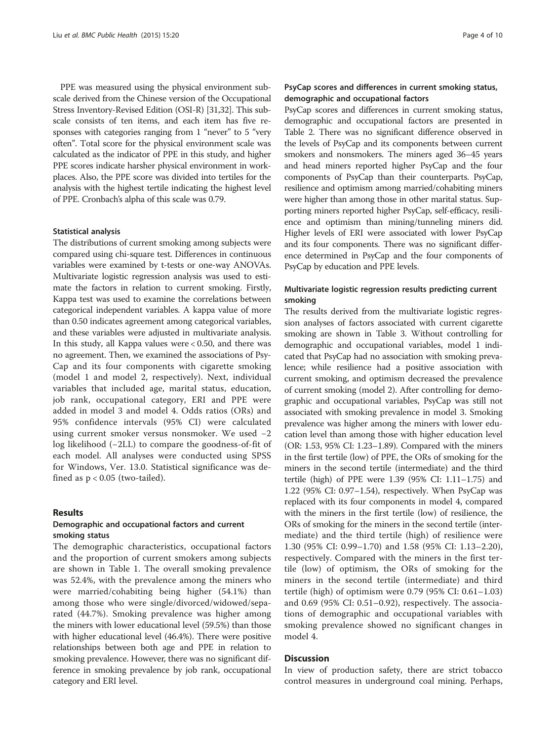PPE was measured using the physical environment subscale derived from the Chinese version of the Occupational Stress Inventory-Revised Edition (OSI-R) [\[31,32](#page-9-0)]. This subscale consists of ten items, and each item has five responses with categories ranging from 1 "never" to 5 "very often". Total score for the physical environment scale was calculated as the indicator of PPE in this study, and higher PPE scores indicate harsher physical environment in workplaces. Also, the PPE score was divided into tertiles for the analysis with the highest tertile indicating the highest level of PPE. Cronbach's alpha of this scale was 0.79.

### Statistical analysis

The distributions of current smoking among subjects were compared using chi-square test. Differences in continuous variables were examined by t-tests or one-way ANOVAs. Multivariate logistic regression analysis was used to estimate the factors in relation to current smoking. Firstly, Kappa test was used to examine the correlations between categorical independent variables. A kappa value of more than 0.50 indicates agreement among categorical variables, and these variables were adjusted in multivariate analysis. In this study, all Kappa values were < 0.50, and there was no agreement. Then, we examined the associations of Psy-Cap and its four components with cigarette smoking (model 1 and model 2, respectively). Next, individual variables that included age, marital status, education, job rank, occupational category, ERI and PPE were added in model 3 and model 4. Odds ratios (ORs) and 95% confidence intervals (95% CI) were calculated using current smoker versus nonsmoker. We used −2 log likelihood (−2LL) to compare the goodness-of-fit of each model. All analyses were conducted using SPSS for Windows, Ver. 13.0. Statistical significance was defined as  $p < 0.05$  (two-tailed).

## Results

## Demographic and occupational factors and current smoking status

The demographic characteristics, occupational factors and the proportion of current smokers among subjects are shown in Table [1](#page-4-0). The overall smoking prevalence was 52.4%, with the prevalence among the miners who were married/cohabiting being higher (54.1%) than among those who were single/divorced/widowed/separated (44.7%). Smoking prevalence was higher among the miners with lower educational level (59.5%) than those with higher educational level (46.4%). There were positive relationships between both age and PPE in relation to smoking prevalence. However, there was no significant difference in smoking prevalence by job rank, occupational category and ERI level.

## PsyCap scores and differences in current smoking status, demographic and occupational factors

PsyCap scores and differences in current smoking status, demographic and occupational factors are presented in Table [2](#page-5-0). There was no significant difference observed in the levels of PsyCap and its components between current smokers and nonsmokers. The miners aged 36–45 years and head miners reported higher PsyCap and the four components of PsyCap than their counterparts. PsyCap, resilience and optimism among married/cohabiting miners were higher than among those in other marital status. Supporting miners reported higher PsyCap, self-efficacy, resilience and optimism than mining/tunneling miners did. Higher levels of ERI were associated with lower PsyCap and its four components. There was no significant difference determined in PsyCap and the four components of PsyCap by education and PPE levels.

## Multivariate logistic regression results predicting current smoking

The results derived from the multivariate logistic regression analyses of factors associated with current cigarette smoking are shown in Table [3.](#page-6-0) Without controlling for demographic and occupational variables, model 1 indicated that PsyCap had no association with smoking prevalence; while resilience had a positive association with current smoking, and optimism decreased the prevalence of current smoking (model 2). After controlling for demographic and occupational variables, PsyCap was still not associated with smoking prevalence in model 3. Smoking prevalence was higher among the miners with lower education level than among those with higher education level (OR: 1.53, 95% CI: 1.23–1.89). Compared with the miners in the first tertile (low) of PPE, the ORs of smoking for the miners in the second tertile (intermediate) and the third tertile (high) of PPE were 1.39 (95% CI: 1.11–1.75) and 1.22 (95% CI: 0.97–1.54), respectively. When PsyCap was replaced with its four components in model 4, compared with the miners in the first tertile (low) of resilience, the ORs of smoking for the miners in the second tertile (intermediate) and the third tertile (high) of resilience were 1.30 (95% CI: 0.99–1.70) and 1.58 (95% CI: 1.13–2.20), respectively. Compared with the miners in the first tertile (low) of optimism, the ORs of smoking for the miners in the second tertile (intermediate) and third tertile (high) of optimism were 0.79 (95% CI: 0.61–1.03) and 0.69 (95% CI: 0.51–0.92), respectively. The associations of demographic and occupational variables with smoking prevalence showed no significant changes in model 4.

## Discussion

In view of production safety, there are strict tobacco control measures in underground coal mining. Perhaps,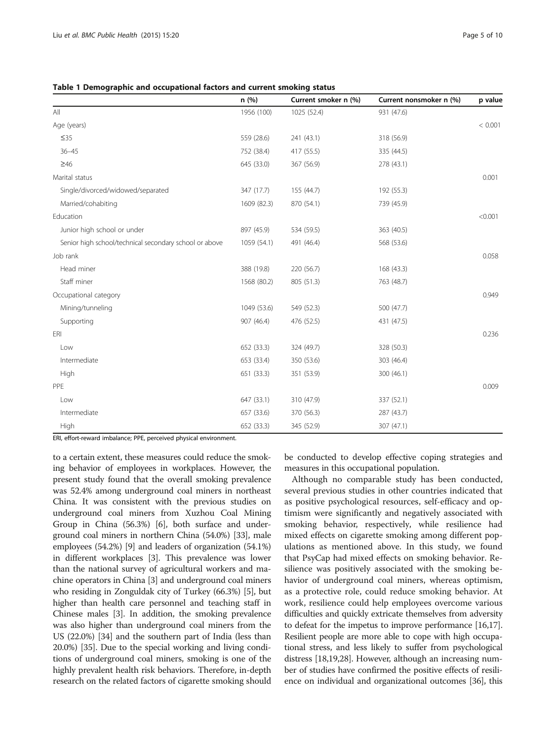<span id="page-4-0"></span>Table 1 Demographic and occupational factors and current smoking status

|                                                        | n(%)        | Current smoker n (%) | Current nonsmoker n (%) | p value |
|--------------------------------------------------------|-------------|----------------------|-------------------------|---------|
| All                                                    | 1956 (100)  | 1025 (52.4)          | 931 (47.6)              |         |
| Age (years)                                            |             |                      |                         | < 0.001 |
| $\leq$ 35                                              | 559 (28.6)  | 241 (43.1)           | 318 (56.9)              |         |
| $36 - 45$                                              | 752 (38.4)  | 417 (55.5)           | 335 (44.5)              |         |
| $\geq 46$                                              | 645 (33.0)  | 367 (56.9)           | 278 (43.1)              |         |
| Marital status                                         |             |                      |                         | 0.001   |
| Single/divorced/widowed/separated                      | 347 (17.7)  | 155 (44.7)           | 192 (55.3)              |         |
| Married/cohabiting                                     | 1609 (82.3) | 870 (54.1)           | 739 (45.9)              |         |
| Education                                              |             |                      |                         | < 0.001 |
| Junior high school or under                            | 897 (45.9)  | 534 (59.5)           | 363 (40.5)              |         |
| Senior high school/technical secondary school or above | 1059 (54.1) | 491 (46.4)           | 568 (53.6)              |         |
| Job rank                                               |             |                      |                         | 0.058   |
| Head miner                                             | 388 (19.8)  | 220 (56.7)           | 168 (43.3)              |         |
| Staff miner                                            | 1568 (80.2) | 805 (51.3)           | 763 (48.7)              |         |
| Occupational category                                  |             |                      |                         | 0.949   |
| Mining/tunneling                                       | 1049 (53.6) | 549 (52.3)           | 500 (47.7)              |         |
| Supporting                                             | 907 (46.4)  | 476 (52.5)           | 431 (47.5)              |         |
| ERI                                                    |             |                      |                         | 0.236   |
| Low                                                    | 652 (33.3)  | 324 (49.7)           | 328 (50.3)              |         |
| Intermediate                                           | 653 (33.4)  | 350 (53.6)           | 303 (46.4)              |         |
| High                                                   | 651 (33.3)  | 351 (53.9)           | 300 (46.1)              |         |
| PPE                                                    |             |                      |                         | 0.009   |
| Low                                                    | 647 (33.1)  | 310 (47.9)           | 337 (52.1)              |         |
| Intermediate                                           | 657 (33.6)  | 370 (56.3)           | 287 (43.7)              |         |
| High                                                   | 652 (33.3)  | 345 (52.9)           | 307 (47.1)              |         |

ERI, effort-reward imbalance; PPE, perceived physical environment.

to a certain extent, these measures could reduce the smoking behavior of employees in workplaces. However, the present study found that the overall smoking prevalence was 52.4% among underground coal miners in northeast China. It was consistent with the previous studies on underground coal miners from Xuzhou Coal Mining Group in China (56.3%) [[6\]](#page-8-0), both surface and underground coal miners in northern China (54.0%) [\[33\]](#page-9-0), male employees (54.2%) [\[9\]](#page-8-0) and leaders of organization (54.1%) in different workplaces [[3\]](#page-8-0). This prevalence was lower than the national survey of agricultural workers and machine operators in China [\[3](#page-8-0)] and underground coal miners who residing in Zonguldak city of Turkey (66.3%) [\[5\]](#page-8-0), but higher than health care personnel and teaching staff in Chinese males [\[3\]](#page-8-0). In addition, the smoking prevalence was also higher than underground coal miners from the US (22.0%) [\[34\]](#page-9-0) and the southern part of India (less than 20.0%) [[35](#page-9-0)]. Due to the special working and living conditions of underground coal miners, smoking is one of the highly prevalent health risk behaviors. Therefore, in-depth research on the related factors of cigarette smoking should

be conducted to develop effective coping strategies and measures in this occupational population.

Although no comparable study has been conducted, several previous studies in other countries indicated that as positive psychological resources, self-efficacy and optimism were significantly and negatively associated with smoking behavior, respectively, while resilience had mixed effects on cigarette smoking among different populations as mentioned above. In this study, we found that PsyCap had mixed effects on smoking behavior. Resilience was positively associated with the smoking behavior of underground coal miners, whereas optimism, as a protective role, could reduce smoking behavior. At work, resilience could help employees overcome various difficulties and quickly extricate themselves from adversity to defeat for the impetus to improve performance [\[16,17](#page-8-0)]. Resilient people are more able to cope with high occupational stress, and less likely to suffer from psychological distress [\[18,19,28](#page-8-0)]. However, although an increasing number of studies have confirmed the positive effects of resilience on individual and organizational outcomes [\[36\]](#page-9-0), this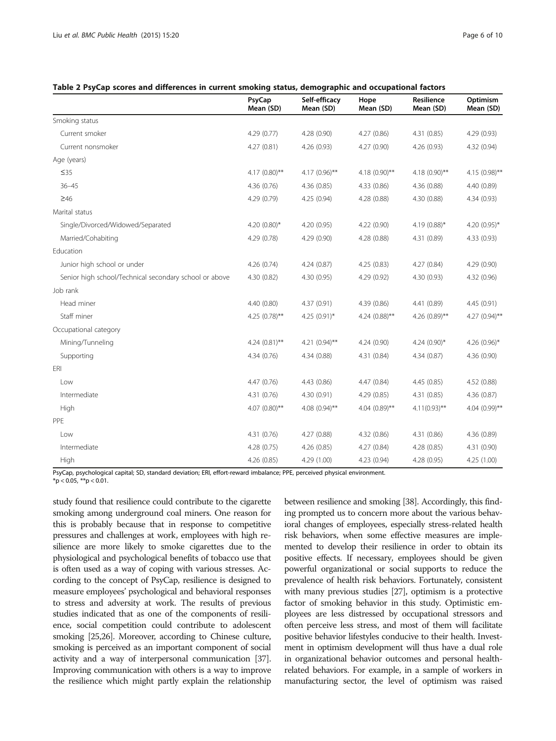|                                                        | PsyCap<br>Mean (SD) | Self-efficacy<br>Mean (SD) | Hope<br>Mean (SD) | Resilience<br>Mean (SD) | Optimism<br>Mean (SD) |
|--------------------------------------------------------|---------------------|----------------------------|-------------------|-------------------------|-----------------------|
| Smoking status                                         |                     |                            |                   |                         |                       |
| Current smoker                                         | 4.29(0.77)          | 4.28 (0.90)                | 4.27(0.86)        | 4.31(0.85)              | 4.29(0.93)            |
| Current nonsmoker                                      | 4.27(0.81)          | 4.26(0.93)                 | 4.27 (0.90)       | 4.26 (0.93)             | 4.32 (0.94)           |
| Age (years)                                            |                     |                            |                   |                         |                       |
| $\leq$ 35                                              | 4.17 $(0.80)$ **    | 4.17 $(0.96)$ **           | $4.18(0.90)$ **   | $4.18(0.90)$ **         | $4.15(0.98)$ **       |
| $36 - 45$                                              | 4.36 (0.76)         | 4.36(0.85)                 | 4.33(0.86)        | 4.36 (0.88)             | 4.40 (0.89)           |
| $\geq 46$                                              | 4.29 (0.79)         | 4.25(0.94)                 | 4.28 (0.88)       | 4.30 (0.88)             | 4.34(0.93)            |
| Marital status                                         |                     |                            |                   |                         |                       |
| Single/Divorced/Widowed/Separated                      | 4.20 $(0.80)$ *     | 4.20 (0.95)                | 4.22 (0.90)       | 4.19 (0.88)*            | 4.20 $(0.95)^*$       |
| Married/Cohabiting                                     | 4.29 (0.78)         | 4.29 (0.90)                | 4.28 (0.88)       | 4.31 (0.89)             | 4.33(0.93)            |
| Education                                              |                     |                            |                   |                         |                       |
| Junior high school or under                            | 4.26 (0.74)         | 4.24(0.87)                 | 4.25(0.83)        | 4.27(0.84)              | 4.29 (0.90)           |
| Senior high school/Technical secondary school or above | 4.30 (0.82)         | 4.30 (0.95)                | 4.29 (0.92)       | 4.30 (0.93)             | 4.32 (0.96)           |
| Job rank                                               |                     |                            |                   |                         |                       |
| Head miner                                             | 4.40 (0.80)         | 4.37(0.91)                 | 4.39(0.86)        | 4.41 (0.89)             | 4.45(0.91)            |
| Staff miner                                            | 4.25 $(0.78)$ **    | 4.25 $(0.91)$ *            | 4.24 $(0.88)$ **  | 4.26 (0.89)**           | 4.27 $(0.94)$ **      |
| Occupational category                                  |                     |                            |                   |                         |                       |
| Mining/Tunneling                                       | 4.24 $(0.81)$ **    | 4.21 $(0.94)$ **           | 4.24(0.90)        | 4.24 $(0.90)$ *         | 4.26 $(0.96)$ *       |
| Supporting                                             | 4.34 (0.76)         | 4.34 (0.88)                | 4.31(0.84)        | 4.34(0.87)              | 4.36 (0.90)           |
| <b>FRI</b>                                             |                     |                            |                   |                         |                       |
| Low                                                    | 4.47 (0.76)         | 4.43 (0.86)                | 4.47 (0.84)       | 4.45 (0.85)             | 4.52 (0.88)           |
| Intermediate                                           | 4.31 (0.76)         | 4.30 (0.91)                | 4.29 (0.85)       | 4.31 (0.85)             | 4.36 (0.87)           |
| High                                                   | 4.07 (0.80)**       | 4.08 $(0.94)$ **           | 4.04 $(0.89)$ **  | $4.11(0.93)$ **         | 4.04 $(0.99)$ **      |
| PPE                                                    |                     |                            |                   |                         |                       |
| Low                                                    | 4.31 (0.76)         | 4.27 (0.88)                | 4.32(0.86)        | 4.31 (0.86)             | 4.36 (0.89)           |
| Intermediate                                           | 4.28 (0.75)         | 4.26(0.85)                 | 4.27(0.84)        | 4.28(0.85)              | 4.31 (0.90)           |
| High                                                   | 4.26(0.85)          | 4.29 (1.00)                | 4.23(0.94)        | 4.28 (0.95)             | 4.25 (1.00)           |

<span id="page-5-0"></span>

PsyCap, psychological capital; SD, standard deviation; ERI, effort-reward imbalance; PPE, perceived physical environment.

 $*$ p < 0.05,  $**$ p < 0.01.

study found that resilience could contribute to the cigarette smoking among underground coal miners. One reason for this is probably because that in response to competitive pressures and challenges at work, employees with high resilience are more likely to smoke cigarettes due to the physiological and psychological benefits of tobacco use that is often used as a way of coping with various stresses. According to the concept of PsyCap, resilience is designed to measure employees' psychological and behavioral responses to stress and adversity at work. The results of previous studies indicated that as one of the components of resilience, social competition could contribute to adolescent smoking [\[25,26](#page-8-0)]. Moreover, according to Chinese culture, smoking is perceived as an important component of social activity and a way of interpersonal communication [\[37](#page-9-0)]. Improving communication with others is a way to improve the resilience which might partly explain the relationship between resilience and smoking [\[38\]](#page-9-0). Accordingly, this finding prompted us to concern more about the various behavioral changes of employees, especially stress-related health risk behaviors, when some effective measures are implemented to develop their resilience in order to obtain its positive effects. If necessary, employees should be given powerful organizational or social supports to reduce the prevalence of health risk behaviors. Fortunately, consistent with many previous studies [\[27\]](#page-8-0), optimism is a protective factor of smoking behavior in this study. Optimistic employees are less distressed by occupational stressors and often perceive less stress, and most of them will facilitate positive behavior lifestyles conducive to their health. Investment in optimism development will thus have a dual role in organizational behavior outcomes and personal healthrelated behaviors. For example, in a sample of workers in manufacturing sector, the level of optimism was raised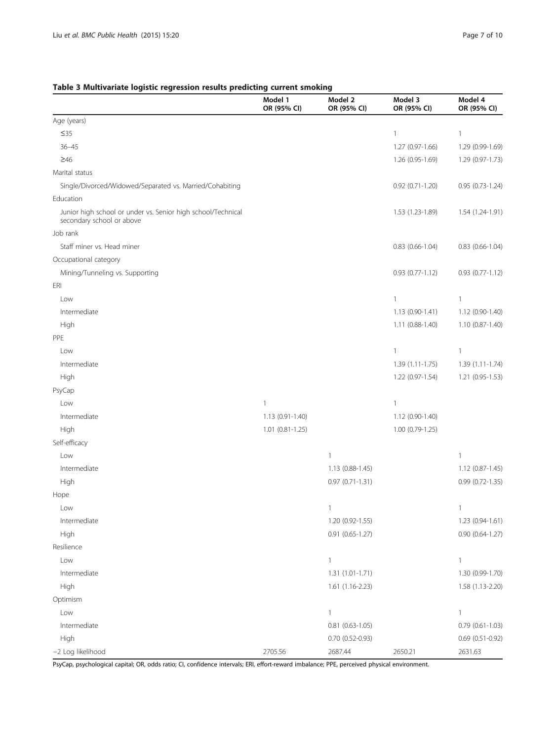## <span id="page-6-0"></span>Table 3 Multivariate logistic regression results predicting current smoking

|                                                                                           | Model 1<br>OR (95% CI) | Model 2<br>OR (95% CI) | Model 3<br>OR (95% CI) | Model 4<br>OR (95% CI) |
|-------------------------------------------------------------------------------------------|------------------------|------------------------|------------------------|------------------------|
| Age (years)                                                                               |                        |                        |                        |                        |
| $\leq$ 35                                                                                 |                        |                        | $\mathbf{1}$           | 1                      |
| $36 - 45$                                                                                 |                        |                        | 1.27 (0.97-1.66)       | 1.29 (0.99-1.69)       |
| $\geq 46$                                                                                 |                        |                        | 1.26 (0.95-1.69)       | 1.29 (0.97-1.73)       |
| Marital status                                                                            |                        |                        |                        |                        |
| Single/Divorced/Widowed/Separated vs. Married/Cohabiting                                  |                        |                        | $0.92$ $(0.71 - 1.20)$ | 0.95 (0.73-1.24)       |
| Education                                                                                 |                        |                        |                        |                        |
| Junior high school or under vs. Senior high school/Technical<br>secondary school or above |                        |                        | 1.53 (1.23-1.89)       | 1.54 (1.24-1.91)       |
| Job rank                                                                                  |                        |                        |                        |                        |
| Staff miner vs. Head miner                                                                |                        |                        | $0.83$ (0.66-1.04)     | $0.83$ (0.66-1.04)     |
| Occupational category                                                                     |                        |                        |                        |                        |
| Mining/Tunneling vs. Supporting                                                           |                        |                        | $0.93(0.77-1.12)$      | 0.93 (0.77-1.12)       |
| ERI                                                                                       |                        |                        |                        |                        |
| Low                                                                                       |                        |                        | $\mathbf{1}$           | $\mathbf{1}$           |
| Intermediate                                                                              |                        |                        | 1.13 (0.90-1.41)       | 1.12 (0.90-1.40)       |
| High                                                                                      |                        |                        | 1.11 (0.88-1.40)       | 1.10 (0.87-1.40)       |
| PPE                                                                                       |                        |                        |                        |                        |
| Low                                                                                       |                        |                        | $\mathbf{1}$           | $\mathbf{1}$           |
| Intermediate                                                                              |                        |                        | $1.39(1.11-1.75)$      | 1.39 (1.11-1.74)       |
| High                                                                                      |                        |                        | 1.22 (0.97-1.54)       | 1.21 (0.95-1.53)       |
| PsyCap                                                                                    |                        |                        |                        |                        |
| Low                                                                                       | 1                      |                        | $\mathbf{1}$           |                        |
| Intermediate                                                                              | 1.13 (0.91-1.40)       |                        | 1.12 (0.90-1.40)       |                        |
| High                                                                                      | $1.01(0.81 - 1.25)$    |                        | $1.00(0.79-1.25)$      |                        |
| Self-efficacy                                                                             |                        |                        |                        |                        |
| Low                                                                                       |                        | 1                      |                        | $\mathbf{1}$           |
| Intermediate                                                                              |                        | 1.13 (0.88-1.45)       |                        | 1.12 (0.87-1.45)       |
| High                                                                                      |                        | $0.97(0.71-1.31)$      |                        | 0.99 (0.72-1.35)       |
| Hope                                                                                      |                        |                        |                        |                        |
| Low                                                                                       |                        | 1                      |                        | 1                      |
| Intermediate                                                                              |                        | 1.20 (0.92-1.55)       |                        | 1.23 (0.94-1.61)       |
| High                                                                                      |                        | 0.91 (0.65-1.27)       |                        | $0.90(0.64-1.27)$      |
| Resilience                                                                                |                        |                        |                        |                        |
| Low                                                                                       |                        | $\mathbf{1}$           |                        | $\mathbf{1}$           |
| Intermediate                                                                              |                        | 1.31 (1.01-1.71)       |                        | 1.30 (0.99-1.70)       |
| High                                                                                      |                        | 1.61 (1.16-2.23)       |                        | 1.58 (1.13-2.20)       |
| Optimism                                                                                  |                        |                        |                        |                        |
| Low                                                                                       |                        | $\mathbf{1}$           |                        | $\mathbf{1}$           |
| Intermediate                                                                              |                        | $0.81$ $(0.63 - 1.05)$ |                        | $0.79(0.61-1.03)$      |
| High                                                                                      |                        | 0.70 (0.52-0.93)       |                        | 0.69 (0.51-0.92)       |
| -2 Log likelihood                                                                         | 2705.56                | 2687.44                | 2650.21                | 2631.63                |

PsyCap, psychological capital; OR, odds ratio; CI, confidence intervals; ERI, effort-reward imbalance; PPE, perceived physical environment.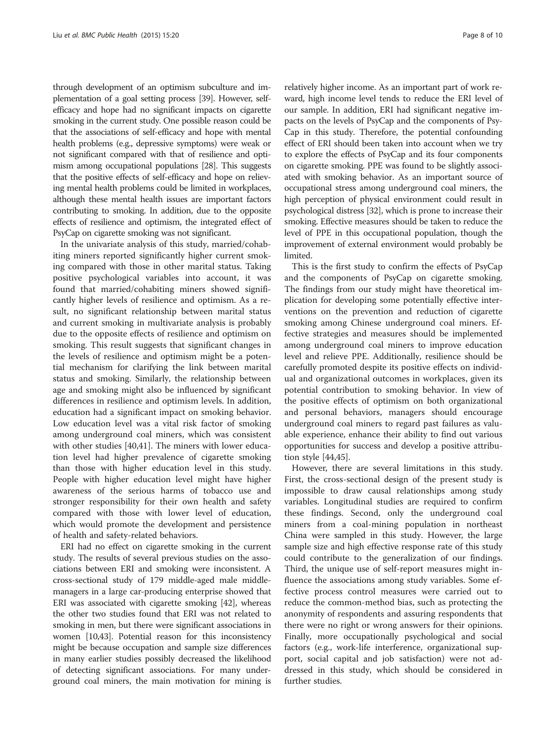through development of an optimism subculture and implementation of a goal setting process [\[39](#page-9-0)]. However, selfefficacy and hope had no significant impacts on cigarette smoking in the current study. One possible reason could be that the associations of self-efficacy and hope with mental health problems (e.g., depressive symptoms) were weak or not significant compared with that of resilience and optimism among occupational populations [\[28](#page-8-0)]. This suggests that the positive effects of self-efficacy and hope on relieving mental health problems could be limited in workplaces, although these mental health issues are important factors contributing to smoking. In addition, due to the opposite effects of resilience and optimism, the integrated effect of PsyCap on cigarette smoking was not significant.

In the univariate analysis of this study, married/cohabiting miners reported significantly higher current smoking compared with those in other marital status. Taking positive psychological variables into account, it was found that married/cohabiting miners showed significantly higher levels of resilience and optimism. As a result, no significant relationship between marital status and current smoking in multivariate analysis is probably due to the opposite effects of resilience and optimism on smoking. This result suggests that significant changes in the levels of resilience and optimism might be a potential mechanism for clarifying the link between marital status and smoking. Similarly, the relationship between age and smoking might also be influenced by significant differences in resilience and optimism levels. In addition, education had a significant impact on smoking behavior. Low education level was a vital risk factor of smoking among underground coal miners, which was consistent with other studies [[40](#page-9-0),[41](#page-9-0)]. The miners with lower education level had higher prevalence of cigarette smoking than those with higher education level in this study. People with higher education level might have higher awareness of the serious harms of tobacco use and stronger responsibility for their own health and safety compared with those with lower level of education, which would promote the development and persistence of health and safety-related behaviors.

ERI had no effect on cigarette smoking in the current study. The results of several previous studies on the associations between ERI and smoking were inconsistent. A cross-sectional study of 179 middle-aged male middlemanagers in a large car-producing enterprise showed that ERI was associated with cigarette smoking [\[42](#page-9-0)], whereas the other two studies found that ERI was not related to smoking in men, but there were significant associations in women [[10](#page-8-0),[43](#page-9-0)]. Potential reason for this inconsistency might be because occupation and sample size differences in many earlier studies possibly decreased the likelihood of detecting significant associations. For many underground coal miners, the main motivation for mining is

relatively higher income. As an important part of work reward, high income level tends to reduce the ERI level of our sample. In addition, ERI had significant negative impacts on the levels of PsyCap and the components of Psy-Cap in this study. Therefore, the potential confounding effect of ERI should been taken into account when we try to explore the effects of PsyCap and its four components on cigarette smoking. PPE was found to be slightly associated with smoking behavior. As an important source of occupational stress among underground coal miners, the high perception of physical environment could result in psychological distress [[32](#page-9-0)], which is prone to increase their smoking. Effective measures should be taken to reduce the level of PPE in this occupational population, though the improvement of external environment would probably be limited.

This is the first study to confirm the effects of PsyCap and the components of PsyCap on cigarette smoking. The findings from our study might have theoretical implication for developing some potentially effective interventions on the prevention and reduction of cigarette smoking among Chinese underground coal miners. Effective strategies and measures should be implemented among underground coal miners to improve education level and relieve PPE. Additionally, resilience should be carefully promoted despite its positive effects on individual and organizational outcomes in workplaces, given its potential contribution to smoking behavior. In view of the positive effects of optimism on both organizational and personal behaviors, managers should encourage underground coal miners to regard past failures as valuable experience, enhance their ability to find out various opportunities for success and develop a positive attribution style [\[44,45](#page-9-0)].

However, there are several limitations in this study. First, the cross-sectional design of the present study is impossible to draw causal relationships among study variables. Longitudinal studies are required to confirm these findings. Second, only the underground coal miners from a coal-mining population in northeast China were sampled in this study. However, the large sample size and high effective response rate of this study could contribute to the generalization of our findings. Third, the unique use of self-report measures might influence the associations among study variables. Some effective process control measures were carried out to reduce the common-method bias, such as protecting the anonymity of respondents and assuring respondents that there were no right or wrong answers for their opinions. Finally, more occupationally psychological and social factors (e.g., work-life interference, organizational support, social capital and job satisfaction) were not addressed in this study, which should be considered in further studies.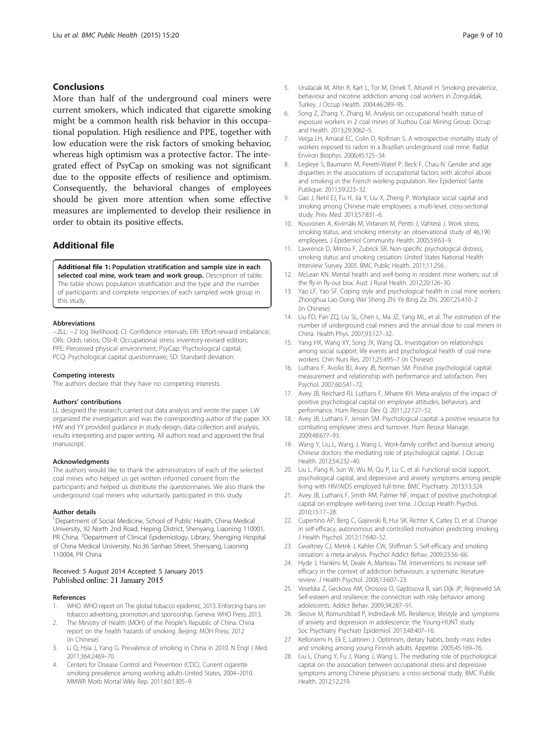## <span id="page-8-0"></span>Conclusions

More than half of the underground coal miners were current smokers, which indicated that cigarette smoking might be a common health risk behavior in this occupational population. High resilience and PPE, together with low education were the risk factors of smoking behavior, whereas high optimism was a protective factor. The integrated effect of PsyCap on smoking was not significant due to the opposite effects of resilience and optimism. Consequently, the behavioral changes of employees should be given more attention when some effective measures are implemented to develop their resilience in order to obtain its positive effects.

## Additional file

[Additional file 1:](http://www.biomedcentral.com/content/supplementary/s12889-015-1349-6-s1.doc) Population stratification and sample size in each selected coal mine, work team and work group. Description of table: The table shows population stratification and the type and the number of participants and complete responses of each sampled work group in this study.

#### Abbreviations

−2LL: −2 log likelihood; CI: Confidence intervals; ERI: Effort-reward imbalance; ORs: Odds ratios; OSI-R: Occupational stress inventory-revised edition; PPE: Perceived physical environment; PsyCap: Psychological capital; PCQ: Psychological capital questionnaire; SD: Standard deviation.

#### Competing interests

The authors declare that they have no competing interests.

#### Authors' contributions

LL designed the research, carried out data analysis and wrote the paper. LW organized the investigation and was the corresponding author of the paper. XX HW and YY provided guidance in study design, data collection and analysis, results interpreting and paper writing. All authors read and approved the final manuscript.

#### Acknowledgments

The authors would like to thank the administrators of each of the selected coal mines who helped us get written informed consent from the participants and helped us distribute the questionnaires. We also thank the underground coal miners who voluntarily participated in this study.

#### Author details

<sup>1</sup>Department of Social Medicine, School of Public Health, China Medical University, 92 North 2nd Road, Heping District, Shenyang, Liaoning 110001, PR China. <sup>2</sup>Department of Clinical Epidemiology, Library, Shengjing Hospital of China Medical University, No.36 Sanhao Street, Shenyang, Liaoning 110004, PR China.

## Received: 5 August 2014 Accepted: 5 January 2015 Published online: 21 January 2015

### References

- WHO. WHO report on The global tobacco epidemic, 2013. Enforcing bans on tobacco advertising, promotion and sponsorship. Geneva: WHO Press; 2013.
- 2. The Ministry of Health (MOH) of the People's Republic of China. China report on the health hazards of smoking. Beijing: MOH Press; 2012 (in Chinese).
- 3. Li Q, Hsia J, Yang G. Prevalence of smoking in China in 2010. N Engl J Med. 2011;364:2469–70.
- 4. Centers for Disease Control and Prevention (CDC). Current cigarette smoking prevalence among working adults-United States, 2004–2010. MMWR Morb Mortal Wkly Rep. 2011;60:1305–9.
- 5. Unalacak M, Altin R, Kart L, Tor M, Ornek T, Altunel H. Smoking prevalence, behaviour and nicotine addiction among coal workers in Zonguldak, Turkey. J Occup Health. 2004;46:289–95.
- 6. Song Z, Zhang Y, Zhang M. Analysis on occupational health status of exposure workers in 2 coal mines of Xuzhou Coal Mining Group. Occup and Health. 2013;29:3062–5.
- 7. Veiga LH, Amaral EC, Colin D, Koifman S. A retrospective mortality study of workers exposed to radon in a Brazilian underground coal mine. Radiat Environ Biophys. 2006;45:125–34.
- 8. Legleye S, Baumann M, Peretti-Watel P, Beck F, Chau N. Gender and age disparities in the associations of occupational factors with alcohol abuse and smoking in the French working population. Rev Epidemiol Sante Publique. 2011;59:223–32.
- 9. Gao J, Nehl EJ, Fu H, Jia Y, Liu X, Zheng P. Workplace social capital and smoking among Chinese male employees: a multi-level, cross-sectional study. Prev Med. 2013;57:831–6.
- 10. Kouvonen A, Kivimäki M, Virtanen M, Pentti J, Vahtera J. Work stress, smoking status, and smoking intensity: an observational study of 46,190 employees. J Epidemiol Community Health. 2005;59:63–9.
- 11. Lawrence D, Mitrou F, Zubrick SR. Non-specific psychological distress, smoking status and smoking cessation: United States National Health Interview Survey 2005. BMC Public Health. 2011;11:256.
- 12. McLean KN. Mental health and well-being in resident mine workers: out of the fly-in fly-out box. Aust J Rural Health. 2012;20:126–30.
- 13. Yao LF, Yao SF. Coping style and psychological health in coal mine workers. Zhonghua Lao Dong Wei Sheng Zhi Ye Bing Za Zhi. 2007;25:410–2 (in Chinese).
- 14. Liu FD, Pan ZQ, Liu SL, Chen L, Ma JZ, Yang ML, et al. The estimation of the number of underground coal miners and the annual dose to coal miners in China. Health Phys. 2007;93:127–32.
- 15. Yang HX, Wang XY, Song JX, Wang QL. Investigation on relationships among social support, life events and psychological health of coal mine workers. Chin Nurs Res. 2011;25:495–7 (in Chinese).
- 16. Luthans F, Avolio BJ, Avey JB, Norman SM. Positive psychological capital: measurement and relationship with performance and satisfaction. Pers Psychol. 2007;60:541–72.
- 17. Avey JB, Reichard RJ, Luthans F, Mhatre KH. Meta-analysis of the impact of positive psychological capital on employee attitudes, behaviors, and performance. Hum Resour Dev Q. 2011;22:127–52.
- 18. Avey JB, Luthans F, Jensen SM. Psychological capital: a positive resource for combating employee stress and turnover. Hum Resour Manage. 2009;48:677–93.
- 19. Wang Y, Liu L, Wang J, Wang L. Work-family conflict and burnout among Chinese doctors: the mediating role of psychological capital. J Occup Health. 2012;54:232–40.
- 20. Liu L, Pang R, Sun W, Wu M, Qu P, Lu C, et al. Functional social support, psychological capital, and depressive and anxiety symptoms among people living with HIV/AIDS employed full-time. BMC Psychiatry. 2013;13:324.
- 21. Avey JB, Luthans F, Smith RM, Palmer NF. Impact of positive psychological capital on employee well-being over time. J Occup Health Psychol. 2010;15:17–28.
- 22. Cupertino AP, Berg C, Gajewski B, Hui SK, Richter K, Catley D, et al. Change in self-efficacy, autonomous and controlled motivation predicting smoking. J Health Psychol. 2012;17:640–52.
- 23. Gwaltney CJ, Metrik J, Kahler CW, Shiffman S. Self-efficacy and smoking cessation: a meta-analysis. Psychol Addict Behav. 2009;23:56–66.
- 24. Hyde J, Hankins M, Deale A, Marteau TM. Interventions to increase selfefficacy in the context of addiction behaviours: a systematic literature review. J Health Psychol. 2008;13:607–23.
- 25. Veselska Z, Geckova AM, Orosova O, Gajdosova B, van Dijk JP, Reijneveld SA. Self-esteem and resilience: the connection with risky behavior among adolescents. Addict Behav. 2009;34:287–91.
- 26. Skrove M, Romundstad P, Indredavik MS. Resilience, lifestyle and symptoms of anxiety and depression in adolescence: the Young-HUNT study. Soc Psychiatry Psychiatr Epidemiol. 2013;48:407–16.
- 27. Kelloniemi H, Ek E, Laitinen J. Optimism, dietary habits, body mass index and smoking among young Finnish adults. Appetite. 2005;45:169–76.
- 28. Liu L, Chang Y, Fu J, Wang J, Wang L. The mediating role of psychological capital on the association between occupational stress and depressive symptoms among Chinese physicians: a cross-sectional study. BMC Public Health. 2012;12:219.